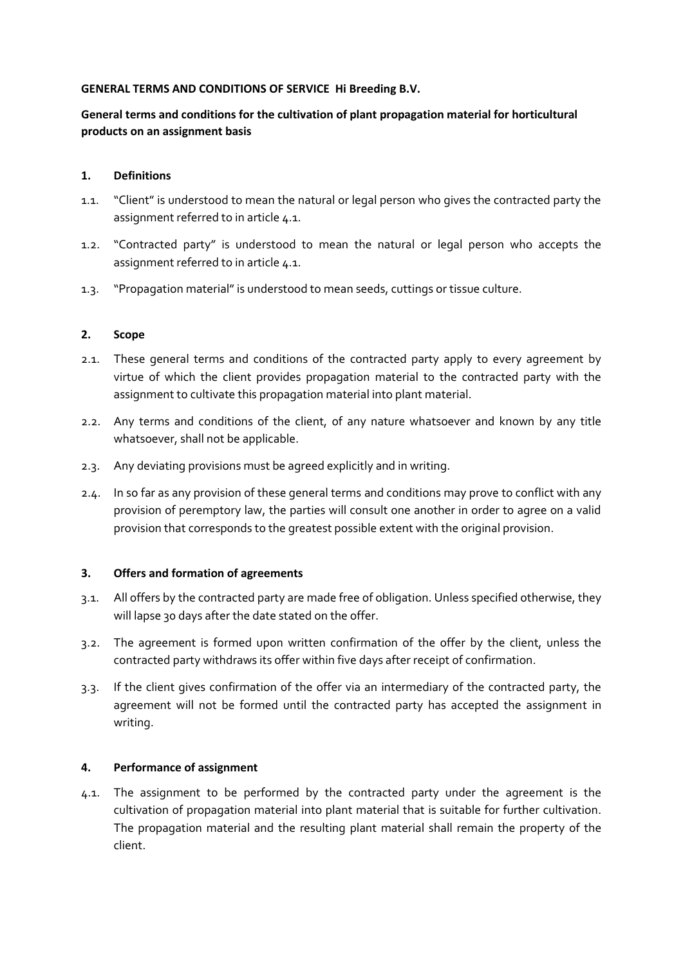### **GENERAL TERMS AND CONDITIONS OF SERVICE Hi Breeding B.V.**

# **General terms and conditions for the cultivation of plant propagation material for horticultural products on an assignment basis**

### **1. Definitions**

- 1.1. "Client" is understood to mean the natural or legal person who gives the contracted party the assignment referred to in article [4.1.](#page-0-0)
- 1.2. "Contracted party" is understood to mean the natural or legal person who accepts the assignment referred to in article [4.1.](#page-0-0)
- 1.3. "Propagation material" is understood to mean seeds, cuttings or tissue culture.

### **2. Scope**

- 2.1. These general terms and conditions of the contracted party apply to every agreement by virtue of which the client provides propagation material to the contracted party with the assignment to cultivate this propagation material into plant material.
- 2.2. Any terms and conditions of the client, of any nature whatsoever and known by any title whatsoever, shall not be applicable.
- 2.3. Any deviating provisions must be agreed explicitly and in writing.
- 2.4. In so far as any provision of these general terms and conditions may prove to conflict with any provision of peremptory law, the parties will consult one another in order to agree on a valid provision that corresponds to the greatest possible extent with the original provision.

### **3. Offers and formation of agreements**

- 3.1. All offers by the contracted party are made free of obligation. Unless specified otherwise, they will lapse 30 days after the date stated on the offer.
- 3.2. The agreement is formed upon written confirmation of the offer by the client, unless the contracted party withdraws its offer within five days after receipt of confirmation.
- 3.3. If the client gives confirmation of the offer via an intermediary of the contracted party, the agreement will not be formed until the contracted party has accepted the assignment in writing.

#### **4. Performance of assignment**

<span id="page-0-0"></span>4.1. The assignment to be performed by the contracted party under the agreement is the cultivation of propagation material into plant material that is suitable for further cultivation. The propagation material and the resulting plant material shall remain the property of the client.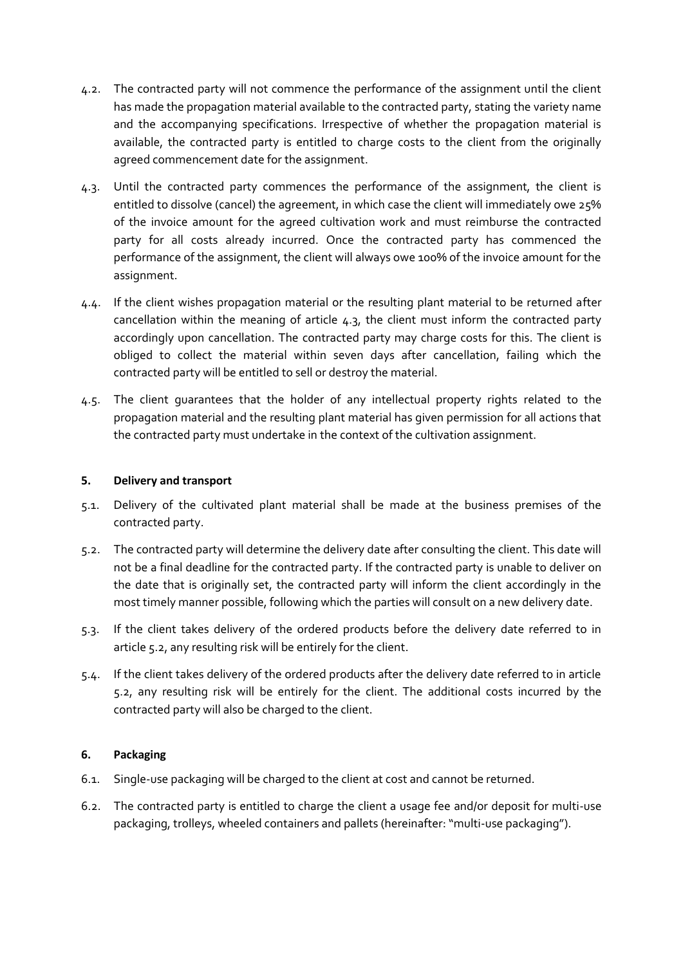- <span id="page-1-2"></span>4.2. The contracted party will not commence the performance of the assignment until the client has made the propagation material available to the contracted party, stating the variety name and the accompanying specifications. Irrespective of whether the propagation material is available, the contracted party is entitled to charge costs to the client from the originally agreed commencement date for the assignment.
- <span id="page-1-0"></span>4.3. Until the contracted party commences the performance of the assignment, the client is entitled to dissolve (cancel) the agreement, in which case the client will immediately owe 25% of the invoice amount for the agreed cultivation work and must reimburse the contracted party for all costs already incurred. Once the contracted party has commenced the performance of the assignment, the client will always owe 100% of the invoice amount for the assignment.
- 4.4. If the client wishes propagation material or the resulting plant material to be returned after cancellation within the meaning of article [4.3,](#page-1-0) the client must inform the contracted party accordingly upon cancellation. The contracted party may charge costs for this. The client is obliged to collect the material within seven days after cancellation, failing which the contracted party will be entitled to sell or destroy the material.
- 4.5. The client guarantees that the holder of any intellectual property rights related to the propagation material and the resulting plant material has given permission for all actions that the contracted party must undertake in the context of the cultivation assignment.

## **5. Delivery and transport**

- 5.1. Delivery of the cultivated plant material shall be made at the business premises of the contracted party.
- <span id="page-1-1"></span>5.2. The contracted party will determine the delivery date after consulting the client. This date will not be a final deadline for the contracted party. If the contracted party is unable to deliver on the date that is originally set, the contracted party will inform the client accordingly in the most timely manner possible, following which the parties will consult on a new delivery date.
- 5.3. If the client takes delivery of the ordered products before the delivery date referred to in articl[e 5.2,](#page-1-1) any resulting risk will be entirely for the client.
- 5.4. If the client takes delivery of the ordered products after the delivery date referred to in article [5.2,](#page-1-1) any resulting risk will be entirely for the client. The additional costs incurred by the contracted party will also be charged to the client.

# **6. Packaging**

- 6.1. Single-use packaging will be charged to the client at cost and cannot be returned.
- 6.2. The contracted party is entitled to charge the client a usage fee and/or deposit for multi-use packaging, trolleys, wheeled containers and pallets (hereinafter: "multi-use packaging").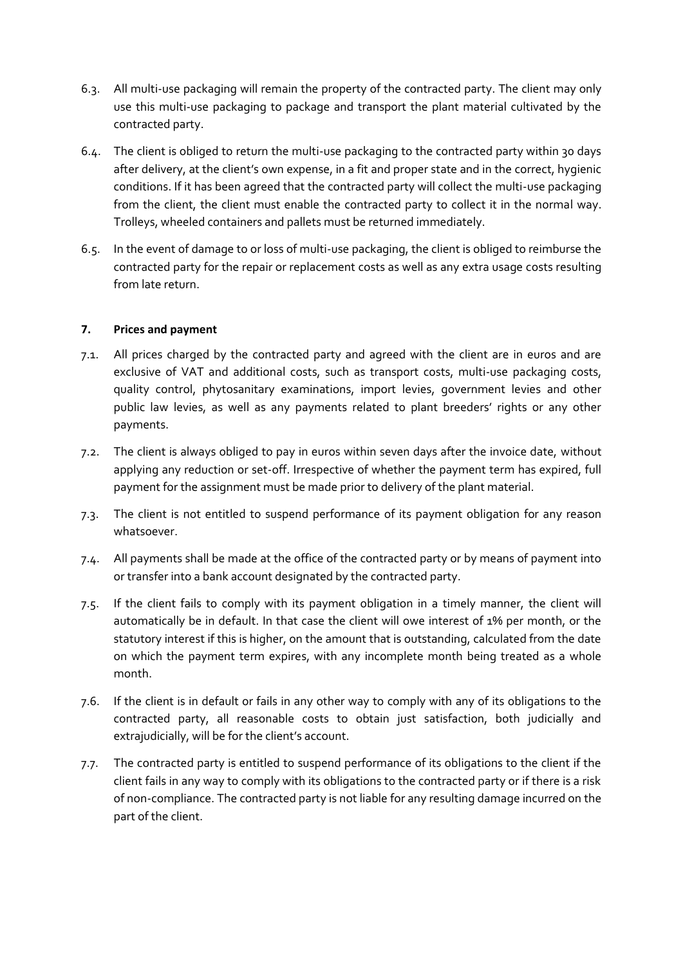- 6.3. All multi-use packaging will remain the property of the contracted party. The client may only use this multi-use packaging to package and transport the plant material cultivated by the contracted party.
- 6.4. The client is obliged to return the multi-use packaging to the contracted party within 30 days after delivery, at the client's own expense, in a fit and proper state and in the correct, hygienic conditions. If it has been agreed that the contracted party will collect the multi-use packaging from the client, the client must enable the contracted party to collect it in the normal way. Trolleys, wheeled containers and pallets must be returned immediately.
- 6.5. In the event of damage to or loss of multi-use packaging, the client is obliged to reimburse the contracted party for the repair or replacement costs as well as any extra usage costs resulting from late return.

### **7. Prices and payment**

- 7.1. All prices charged by the contracted party and agreed with the client are in euros and are exclusive of VAT and additional costs, such as transport costs, multi-use packaging costs, quality control, phytosanitary examinations, import levies, government levies and other public law levies, as well as any payments related to plant breeders' rights or any other payments.
- 7.2. The client is always obliged to pay in euros within seven days after the invoice date, without applying any reduction or set-off. Irrespective of whether the payment term has expired, full payment for the assignment must be made prior to delivery of the plant material.
- 7.3. The client is not entitled to suspend performance of its payment obligation for any reason whatsoever.
- 7.4. All payments shall be made at the office of the contracted party or by means of payment into or transfer into a bank account designated by the contracted party.
- 7.5. If the client fails to comply with its payment obligation in a timely manner, the client will automatically be in default. In that case the client will owe interest of 1% per month, or the statutory interest if this is higher, on the amount that is outstanding, calculated from the date on which the payment term expires, with any incomplete month being treated as a whole month.
- 7.6. If the client is in default or fails in any other way to comply with any of its obligations to the contracted party, all reasonable costs to obtain just satisfaction, both judicially and extrajudicially, will be for the client's account.
- 7.7. The contracted party is entitled to suspend performance of its obligations to the client if the client fails in any way to comply with its obligations to the contracted party or if there is a risk of non-compliance. The contracted party is not liable for any resulting damage incurred on the part of the client.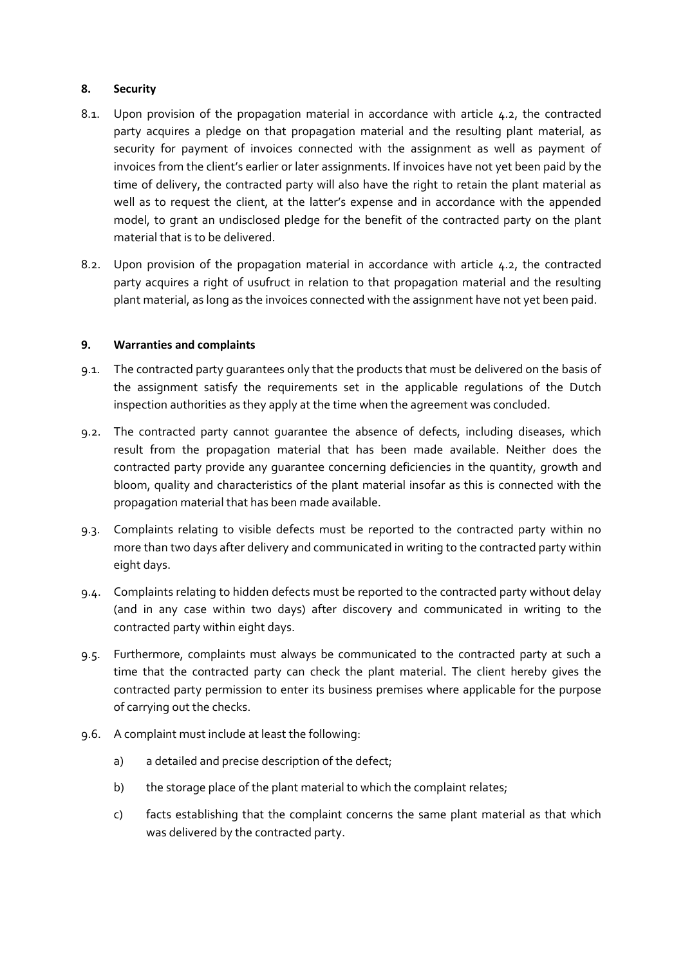### **8. Security**

- 8.1. Upon provision of the propagation material in accordance with article [4.2,](#page-1-2) the contracted party acquires a pledge on that propagation material and the resulting plant material, as security for payment of invoices connected with the assignment as well as payment of invoices from the client's earlier or later assignments. If invoices have not yet been paid by the time of delivery, the contracted party will also have the right to retain the plant material as well as to request the client, at the latter's expense and in accordance with the appended model, to grant an undisclosed pledge for the benefit of the contracted party on the plant material that is to be delivered.
- 8.2. Upon provision of the propagation material in accordance with article [4.2,](#page-1-2) the contracted party acquires a right of usufruct in relation to that propagation material and the resulting plant material, as long as the invoices connected with the assignment have not yet been paid.

## <span id="page-3-2"></span>**9. Warranties and complaints**

- <span id="page-3-1"></span>9.1. The contracted party guarantees only that the products that must be delivered on the basis of the assignment satisfy the requirements set in the applicable regulations of the Dutch inspection authorities as they apply at the time when the agreement was concluded.
- 9.2. The contracted party cannot guarantee the absence of defects, including diseases, which result from the propagation material that has been made available. Neither does the contracted party provide any guarantee concerning deficiencies in the quantity, growth and bloom, quality and characteristics of the plant material insofar as this is connected with the propagation material that has been made available.
- <span id="page-3-0"></span>9.3. Complaints relating to visible defects must be reported to the contracted party within no more than two days after delivery and communicated in writing to the contracted party within eight days.
- 9.4. Complaints relating to hidden defects must be reported to the contracted party without delay (and in any case within two days) after discovery and communicated in writing to the contracted party within eight days.
- 9.5. Furthermore, complaints must always be communicated to the contracted party at such a time that the contracted party can check the plant material. The client hereby gives the contracted party permission to enter its business premises where applicable for the purpose of carrying out the checks.
- 9.6. A complaint must include at least the following:
	- a) a detailed and precise description of the defect;
	- b) the storage place of the plant material to which the complaint relates;
	- c) facts establishing that the complaint concerns the same plant material as that which was delivered by the contracted party.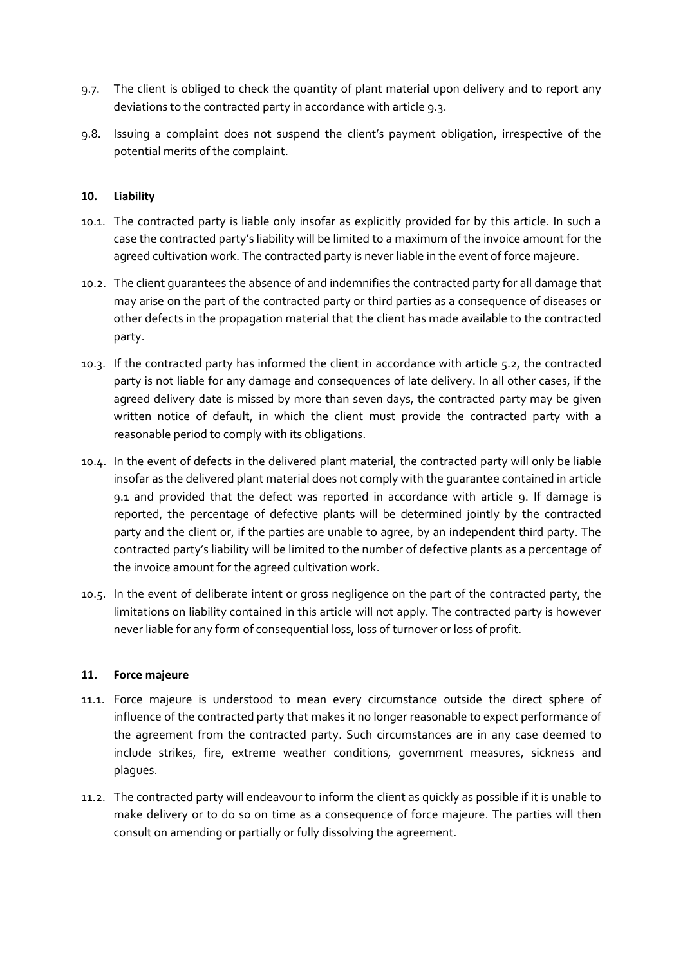- 9.7. The client is obliged to check the quantity of plant material upon delivery and to report any deviations to the contracted party in accordance with article [9.3.](#page-3-0)
- 9.8. Issuing a complaint does not suspend the client's payment obligation, irrespective of the potential merits of the complaint.

### **10. Liability**

- 10.1. The contracted party is liable only insofar as explicitly provided for by this article. In such a case the contracted party's liability will be limited to a maximum of the invoice amount for the agreed cultivation work. The contracted party is never liable in the event of force majeure.
- 10.2. The client guarantees the absence of and indemnifies the contracted party for all damage that may arise on the part of the contracted party or third parties as a consequence of diseases or other defects in the propagation material that the client has made available to the contracted party.
- 10.3. If the contracted party has informed the client in accordance with article [5.2,](#page-1-1) the contracted party is not liable for any damage and consequences of late delivery. In all other cases, if the agreed delivery date is missed by more than seven days, the contracted party may be given written notice of default, in which the client must provide the contracted party with a reasonable period to comply with its obligations.
- 10.4. In the event of defects in the delivered plant material, the contracted party will only be liable insofar as the delivered plant material does not comply with the guarantee contained in article [9.1](#page-3-1) and provided that the defect was reported in accordance with article [9.](#page-3-2) If damage is reported, the percentage of defective plants will be determined jointly by the contracted party and the client or, if the parties are unable to agree, by an independent third party. The contracted party's liability will be limited to the number of defective plants as a percentage of the invoice amount for the agreed cultivation work.
- 10.5. In the event of deliberate intent or gross negligence on the part of the contracted party, the limitations on liability contained in this article will not apply. The contracted party is however never liable for any form of consequential loss, loss of turnover or loss of profit.

#### **11. Force majeure**

- 11.1. Force majeure is understood to mean every circumstance outside the direct sphere of influence of the contracted party that makes it no longer reasonable to expect performance of the agreement from the contracted party. Such circumstances are in any case deemed to include strikes, fire, extreme weather conditions, government measures, sickness and plagues.
- 11.2. The contracted party will endeavour to inform the client as quickly as possible if it is unable to make delivery or to do so on time as a consequence of force majeure. The parties will then consult on amending or partially or fully dissolving the agreement.